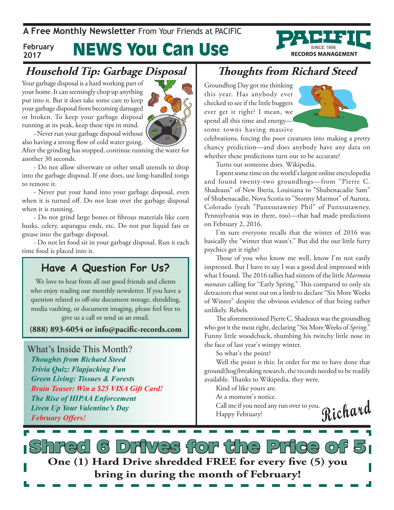**A Free Monthly Newsletter** From Your Friends at PaciFic

#### News You Can Use **February 2017**

## **Household Tip: Garbage Disposal**

Your garbage disposal is a hard working part of your home. It can seemingly chop up anything put into it. But it does take some care to keep your garbage disposal from becoming damaged or broken. To keep your garbage disposal running at its peak, keep these tips in mind.



- Never run your garbage disposal without also having a strong flow of cold water going.

After the grinding has stopped, continue running the water for another 30 seconds.

- Do not allow silverware or other small utensils to drop into the garbage disposal. If one does, use long-handled tongs to remove it.

- Never put your hand into your garbage disposal, even when it is turned off. Do not lean over the garbage disposal when it is running.

- Do not grind large bones or fibrous materials like corn husks, celery, asparagus ends, etc. Do not put liquid fats or grease into the garbage disposal.

- Do not let food sit in your garbage disposal. Run it each time food is placed into it.

### **Have A Question For Us?**

We love to hear from all our good friends and clients who enjoy reading our monthly newsletter. If you have a question related to off-site document storage, shredding, media vaulting, or document imaging, please feel free to give us a call or send us an email.

**(888) 893-6054 or info@pacific-records.com**

What's Inside This Month? *Thoughts from Richard Steed Trivia Quiz: Flapjacking Fun Green Living: Tissues & Forests Brain Teaser: Win a \$25 VISA Gift Card! The Rise of HIPAA Enforcement Liven Up Your Valentine's Day February Offers!*

## **Thoughts from Richard Steed**

Groundhog Day got me thinking this year. Has anybody ever checked to see if the little buggers ever get it right? I mean, we spend all this time and energy some towns having massive



**RECORDS MANAGEMENT** 

celebrations, forcing the poor creatures into making a pretty chancy prediction—and does anybody have any data on whether these predictions turn out to be accurate?

Turns out someone does. Wikipedia.

I spent some time on the world's largest online encyclopedia and found twenty-two groundhogs—from "Pierre C. Shadeaux" of New Iberia, Louisiana to "Shubenacadie Sam" of Shubenacadie, Nova Scotia to "Stormy Marmot" of Aurora, Colorado (yeah "Punxsutawney Phil" of Punxsutawney, Pennsylvania was in there, too)—that had made predictions on February 2, 2016.

I'm sure everyone recalls that the winter of 2016 was basically the "winter that wasn't." But did the our little furry psychics get it right?

Those of you who know me well, know I'm not easily impressed. But I have to say I was a good deal impressed with what I found. The 2016 tallies had sixteen of the little *Marmota monaxes* calling for "Early Spring." This compared to only six detractors that went out on a limb to declare "Six More Weeks of Winter" despite the obvious evidence of that being rather unlikely. Rebels.

The aforementioned Pierre C. Shadeaux was the groundhog who got it the most right, declaring "Six More Weeks of *Spring*." Funny little woodchuck, thumbing his twitchy little nose in the face of last year's wimpy winter.

So what's the point?

Well the point is this: In order for me to have done that ground(hog)breaking research, the records needed to be readily available. Thanks to Wikipedia, they were.

Kind of like yours are.

At a moment's notice.

**Richard** Call me if you need any run over to you. Happy February!

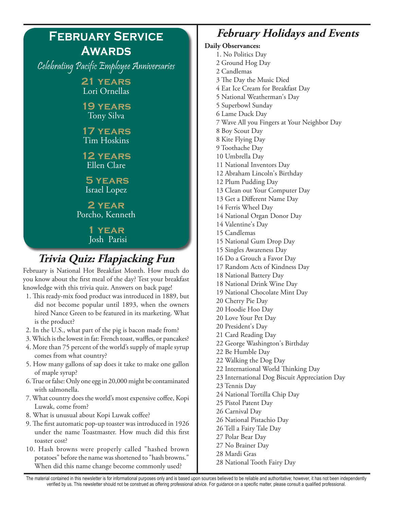

10. Hash browns were properly called "hashed brown potatoes" before the name was shortened to "hash browns." When did this name change become commonly used?

### **February Holidays and Events**

**Daily Observances:** 1. No Politics Day 2 Ground Hog Day 2 Candlemas 3 The Day the Music Died 4 Eat Ice Cream for Breakfast Day 5 National Weatherman's Day 5 Superbowl Sunday 6 Lame Duck Day 7 Wave All you Fingers at Your Neighbor Day 8 Boy Scout Day 8 Kite Flying Day 9 Toothache Day 10 Umbrella Day 11 National Inventors Day 12 Abraham Lincoln's Birthday 12 Plum Pudding Day 13 Clean out Your Computer Day 13 Get a Different Name Day 14 Ferris Wheel Day 14 National Organ Donor Day 14 Valentine's Day 15 Candlemas 15 National Gum Drop Day 15 Singles Awareness Day 16 Do a Grouch a Favor Day 17 Random Acts of Kindness Day 18 National Battery Day 18 National Drink Wine Day 19 National Chocolate Mint Day 20 Cherry Pie Day 20 Hoodie Hoo Day 20 Love Your Pet Day 20 President's Day 21 Card Reading Day 22 George Washington's Birthday 22 Be Humble Day 22 Walking the Dog Day 22 International World Thinking Day 23 International Dog Biscuit Appreciation Day 23 Tennis Day 24 National Tortilla Chip Day 25 Pistol Patent Day 26 Carnival Day 26 National Pistachio Day 26 Tell a Fairy Tale Day 27 Polar Bear Day 27 No Brainer Day 28 Mardi Gras 28 National Tooth Fairy Day

The material contained in this newsletter is for informational purposes only and is based upon sources believed to be reliable and authoritative; however, it has not been independently verified by us. This newsletter should not be construed as offering professional advice. For guidance on a specific matter, please consult a qualified professional.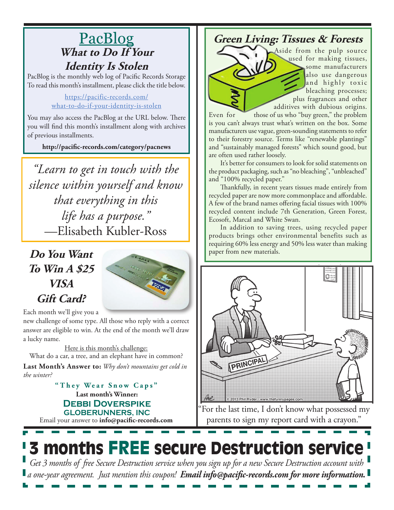## PacBlog **What to Do If Your Identity Is Stolen**

PacBlog is the monthly web log of Pacific Records Storage To read this month's installment, please click the title below.

### https://pacific-records.com/ what-to-do-if-your-identity-is-stolen

You may also access the PacBlog at the URL below. There you will find this month's installment along with archives of previous installments.

**http://pacific-records.com/category/pacnews**

*"Learn to get in touch with the silence within yourself and know that everything in this life has a purpose."* —Elisabeth Kubler-Ross

**Do You Want To Win A \$25 VISA Gift Card?**



Each month we'll give you a

new challenge of some type. All those who reply with a correct answer are eligible to win. At the end of the month we'll draw a lucky name.

Here is this month's challenge: **Last Month's Answer to:** *Why don't mountains get cold in*  What do a car, a tree, and an elephant have in common?

*the winter?*

Email your answer to **info@pacific-records.com Last month's Winner: DEBBI DOVERSPIKE GLOBERUNNERS, INC "They Wear Snow Caps"**

### **Green Living: Tissues & Forests**

Aside from the pulp source used for making tissues, some manufacturers also use dangerous and highly toxic bleaching processes; plus fragrances and other additives with dubious origins.

Even for those of us who "buy green," the problem is you can't always trust what's written on the box. Some manufacturers use vague, green-sounding statements to refer to their forestry source. Terms like "renewable plantings" and "sustainably managed forests" which sound good, but are often used rather loosely.

It's better for consumers to look for solid statements on the product packaging, such as "no bleaching", "unbleached" and "100% recycled paper."

Thankfully, in recent years tissues made entirely from recycled paper are now more commonplace and affordable. A few of the brand names offering facial tissues with 100% recycled content include 7th Generation, Green Forest, Ecosoft, Marcal and White Swan.

In addition to saving trees, using recycled paper products brings other environmental benefits such as requiring 60% less energy and 50% less water than making paper from new materials.



"For the last time, I don't know what possessed my parents to sign my report card with a crayon."

## **3 months FREE secure Destruction service** *Get 3 months of free Secure Destruction service when you sign up for a new Secure Destruction account with a one-year agreement. Just mention this coupon! Email info@pacific-records.com for more information.*